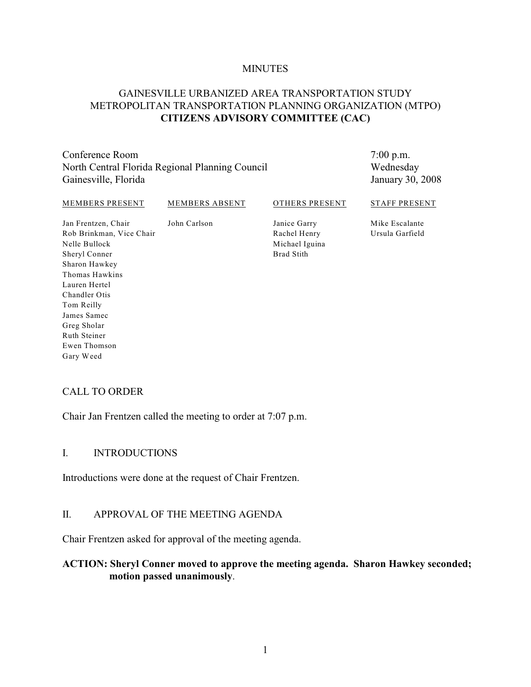#### **MINUTES**

## GAINESVILLE URBANIZED AREA TRANSPORTATION STUDY METROPOLITAN TRANSPORTATION PLANNING ORGANIZATION (MTPO) **CITIZENS ADVISORY COMMITTEE (CAC)**

Conference Room North Central Florida Regional Planning Council Gainesville, Florida

7:00 p.m. Wednesday January 30, 2008

#### MEMBERS PRESENT

#### MEMBERS ABSENT

John Carlson

OTHERS PRESENT

#### STAFF PRESENT

Jan Frentzen, Chair Rob Brinkman, Vice Chair Nelle Bullock Sheryl Conner Sharon Hawkey Thomas Hawkins Lauren Hertel Chandler Otis Tom Reilly James Samec Greg Sholar Ruth Steiner Ewen Thomson Gary Weed

Janice Garry Rachel Henry Michael Iguina Brad Stith

Mike Escalante Ursula Garfield

### CALL TO ORDER

Chair Jan Frentzen called the meeting to order at 7:07 p.m.

#### I. INTRODUCTIONS

Introductions were done at the request of Chair Frentzen.

#### II. APPROVAL OF THE MEETING AGENDA

Chair Frentzen asked for approval of the meeting agenda.

### **ACTION: Sheryl Conner moved to approve the meeting agenda. Sharon Hawkey seconded; motion passed unanimously**.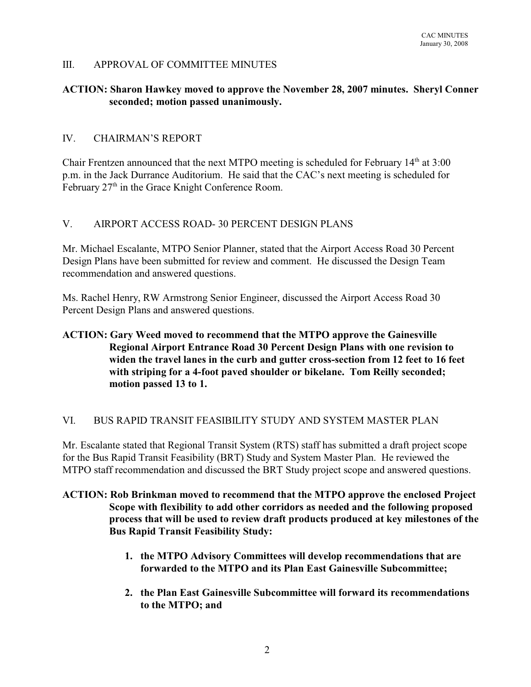## III. APPROVAL OF COMMITTEE MINUTES

## **ACTION: Sharon Hawkey moved to approve the November 28, 2007 minutes. Sheryl Conner seconded; motion passed unanimously.**

## IV. CHAIRMAN'S REPORT

Chair Frentzen announced that the next MTPO meeting is scheduled for February  $14<sup>th</sup>$  at  $3:00$ p.m. in the Jack Durrance Auditorium. He said that the CAC's next meeting is scheduled for February  $27<sup>th</sup>$  in the Grace Knight Conference Room.

## V. AIRPORT ACCESS ROAD- 30 PERCENT DESIGN PLANS

Mr. Michael Escalante, MTPO Senior Planner, stated that the Airport Access Road 30 Percent Design Plans have been submitted for review and comment. He discussed the Design Team recommendation and answered questions.

Ms. Rachel Henry, RW Armstrong Senior Engineer, discussed the Airport Access Road 30 Percent Design Plans and answered questions.

# **ACTION: Gary Weed moved to recommend that the MTPO approve the Gainesville Regional Airport Entrance Road 30 Percent Design Plans with one revision to widen the travel lanes in the curb and gutter cross-section from 12 feet to 16 feet with striping for a 4-foot paved shoulder or bikelane. Tom Reilly seconded; motion passed 13 to 1.**

### VI. BUS RAPID TRANSIT FEASIBILITY STUDY AND SYSTEM MASTER PLAN

Mr. Escalante stated that Regional Transit System (RTS) staff has submitted a draft project scope for the Bus Rapid Transit Feasibility (BRT) Study and System Master Plan. He reviewed the MTPO staff recommendation and discussed the BRT Study project scope and answered questions.

# **ACTION: Rob Brinkman moved to recommend that the MTPO approve the enclosed Project Scope with flexibility to add other corridors as needed and the following proposed process that will be used to review draft products produced at key milestones of the Bus Rapid Transit Feasibility Study:**

- **1. the MTPO Advisory Committees will develop recommendations that are forwarded to the MTPO and its Plan East Gainesville Subcommittee;**
- **2. the Plan East Gainesville Subcommittee will forward its recommendations to the MTPO; and**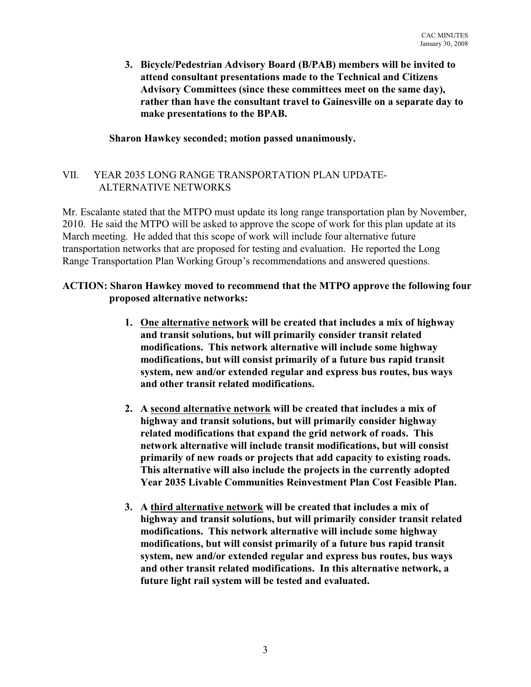**3. Bicycle/Pedestrian Advisory Board (B/PAB) members will be invited to attend consultant presentations made to the Technical and Citizens Advisory Committees (since these committees meet on the same day), rather than have the consultant travel to Gainesville on a separate day to make presentations to the BPAB.**

# **Sharon Hawkey seconded; motion passed unanimously.**

# VII. YEAR 2035 LONG RANGE TRANSPORTATION PLAN UPDATE- ALTERNATIVE NETWORKS

Mr. Escalante stated that the MTPO must update its long range transportation plan by November, 2010. He said the MTPO will be asked to approve the scope of work for this plan update at its March meeting. He added that this scope of work will include four alternative future transportation networks that are proposed for testing and evaluation. He reported the Long Range Transportation Plan Working Group's recommendations and answered questions.

# **ACTION: Sharon Hawkey moved to recommend that the MTPO approve the following four proposed alternative networks:**

- **1. One alternative network will be created that includes a mix of highway and transit solutions, but will primarily consider transit related modifications. This network alternative will include some highway modifications, but will consist primarily of a future bus rapid transit system, new and/or extended regular and express bus routes, bus ways and other transit related modifications.**
- **2. A second alternative network will be created that includes a mix of highway and transit solutions, but will primarily consider highway related modifications that expand the grid network of roads. This network alternative will include transit modifications, but will consist primarily of new roads or projects that add capacity to existing roads. This alternative will also include the projects in the currently adopted Year 2035 Livable Communities Reinvestment Plan Cost Feasible Plan.**
- **3. A third alternative network will be created that includes a mix of highway and transit solutions, but will primarily consider transit related modifications. This network alternative will include some highway modifications, but will consist primarily of a future bus rapid transit system, new and/or extended regular and express bus routes, bus ways and other transit related modifications. In this alternative network, a future light rail system will be tested and evaluated.**